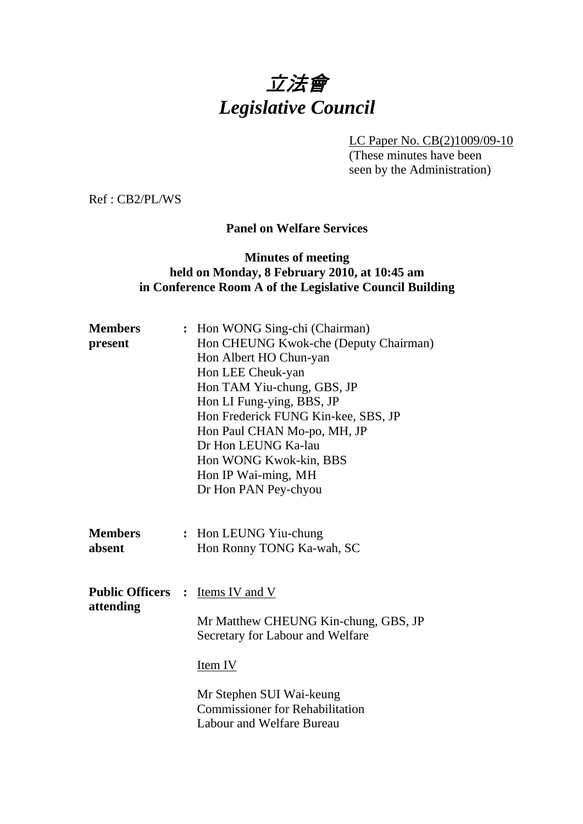# 立法會 *Legislative Council*

LC Paper No. CB(2)1009/09-10

(These minutes have been seen by the Administration)

Ref : CB2/PL/WS

#### **Panel on Welfare Services**

## **Minutes of meeting held on Monday, 8 February 2010, at 10:45 am in Conference Room A of the Legislative Council Building**

| <b>Members</b><br>present                            | : Hon WONG Sing-chi (Chairman)<br>Hon CHEUNG Kwok-che (Deputy Chairman)<br>Hon Albert HO Chun-yan<br>Hon LEE Cheuk-yan<br>Hon TAM Yiu-chung, GBS, JP<br>Hon LI Fung-ying, BBS, JP      |
|------------------------------------------------------|----------------------------------------------------------------------------------------------------------------------------------------------------------------------------------------|
|                                                      | Hon Frederick FUNG Kin-kee, SBS, JP<br>Hon Paul CHAN Mo-po, MH, JP<br>Dr Hon LEUNG Ka-lau<br>Hon WONG Kwok-kin, BBS<br>Hon IP Wai-ming, MH<br>Dr Hon PAN Pey-chyou                     |
| <b>Members</b><br>absent                             | : Hon LEUNG Yiu-chung<br>Hon Ronny TONG Ka-wah, SC                                                                                                                                     |
| <b>Public Officers : Items IV and V</b><br>attending | Mr Matthew CHEUNG Kin-chung, GBS, JP<br>Secretary for Labour and Welfare<br>Item IV<br>Mr Stephen SUI Wai-keung<br><b>Commissioner for Rehabilitation</b><br>Labour and Welfare Bureau |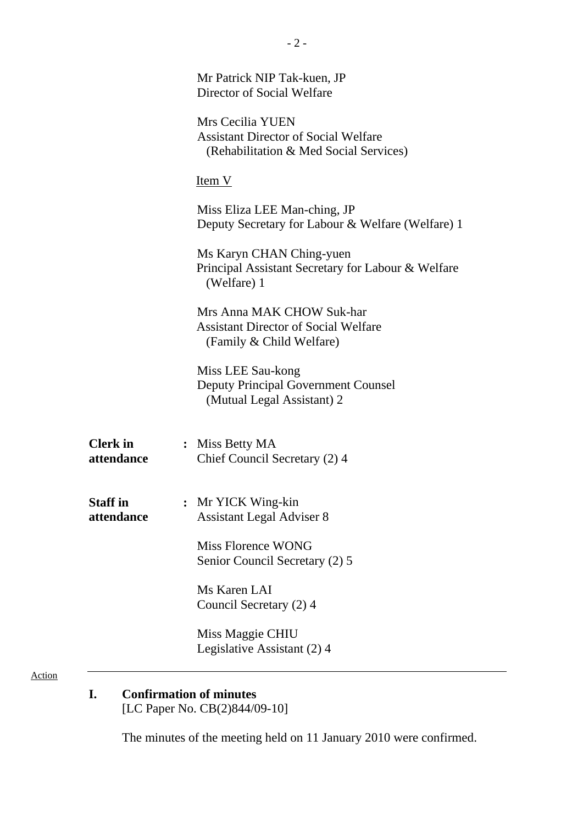| Mr Patrick NIP Tak-kuen, JP<br>Director of Social Welfare<br>Mrs Cecilia YUEN<br><b>Assistant Director of Social Welfare</b><br>(Rehabilitation & Med Social Services) |
|------------------------------------------------------------------------------------------------------------------------------------------------------------------------|
| Item V                                                                                                                                                                 |
| Miss Eliza LEE Man-ching, JP<br>Deputy Secretary for Labour & Welfare (Welfare) 1                                                                                      |
| Ms Karyn CHAN Ching-yuen<br>Principal Assistant Secretary for Labour & Welfare<br>(Welfare) 1                                                                          |
| Mrs Anna MAK CHOW Suk-har<br><b>Assistant Director of Social Welfare</b><br>(Family & Child Welfare)                                                                   |
| Miss LEE Sau-kong<br><b>Deputy Principal Government Counsel</b><br>(Mutual Legal Assistant) 2                                                                          |
| : Miss Betty MA<br>Chief Council Secretary (2) 4                                                                                                                       |
| Mr YICK Wing-kin<br><b>Assistant Legal Adviser 8</b>                                                                                                                   |
| Miss Florence WONG<br>Senior Council Secretary (2) 5                                                                                                                   |
| Ms Karen LAI<br>Council Secretary (2) 4                                                                                                                                |
| Miss Maggie CHIU<br>Legislative Assistant (2) 4                                                                                                                        |
|                                                                                                                                                                        |

# **I. Confirmation of minutes**

[LC Paper No. CB(2)844/09-10]

The minutes of the meeting held on 11 January 2010 were confirmed.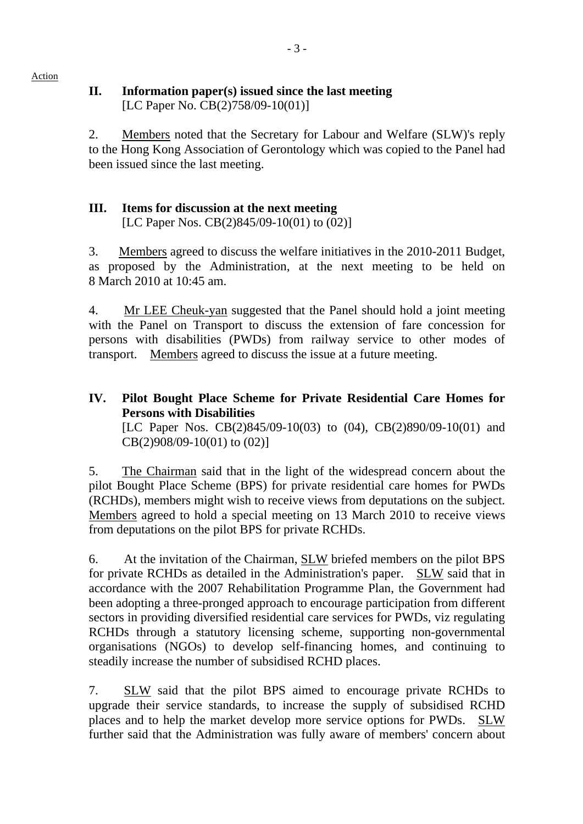## **II. Information paper(s) issued since the last meeting**  [LC Paper No. CB(2)758/09-10(01)]

2. Members noted that the Secretary for Labour and Welfare (SLW)'s reply to the Hong Kong Association of Gerontology which was copied to the Panel had been issued since the last meeting.

## **III. Items for discussion at the next meeting**

[LC Paper Nos. CB(2)845/09-10(01) to (02)]

3. Members agreed to discuss the welfare initiatives in the 2010-2011 Budget, as proposed by the Administration, at the next meeting to be held on 8 March 2010 at 10:45 am.

4. Mr LEE Cheuk-yan suggested that the Panel should hold a joint meeting with the Panel on Transport to discuss the extension of fare concession for persons with disabilities (PWDs) from railway service to other modes of transport. Members agreed to discuss the issue at a future meeting.

**IV. Pilot Bought Place Scheme for Private Residential Care Homes for Persons with Disabilities**  [LC Paper Nos. CB(2)845/09-10(03) to (04), CB(2)890/09-10(01) and CB(2)908/09-10(01) to (02)]

5. The Chairman said that in the light of the widespread concern about the pilot Bought Place Scheme (BPS) for private residential care homes for PWDs (RCHDs), members might wish to receive views from deputations on the subject. Members agreed to hold a special meeting on 13 March 2010 to receive views from deputations on the pilot BPS for private RCHDs.

6. At the invitation of the Chairman, SLW briefed members on the pilot BPS for private RCHDs as detailed in the Administration's paper. SLW said that in accordance with the 2007 Rehabilitation Programme Plan, the Government had been adopting a three-pronged approach to encourage participation from different sectors in providing diversified residential care services for PWDs, viz regulating RCHDs through a statutory licensing scheme, supporting non-governmental organisations (NGOs) to develop self-financing homes, and continuing to steadily increase the number of subsidised RCHD places.

7. SLW said that the pilot BPS aimed to encourage private RCHDs to upgrade their service standards, to increase the supply of subsidised RCHD places and to help the market develop more service options for PWDs. SLW further said that the Administration was fully aware of members' concern about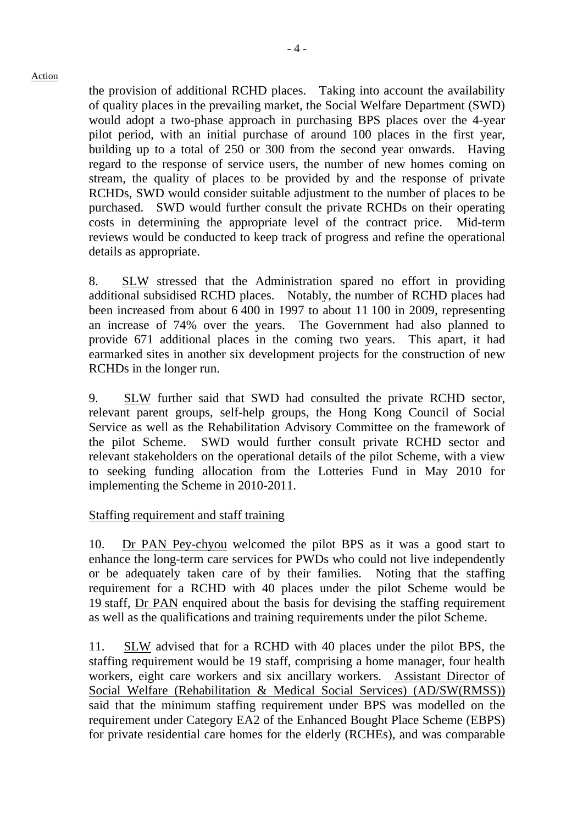the provision of additional RCHD places. Taking into account the availability of quality places in the prevailing market, the Social Welfare Department (SWD) would adopt a two-phase approach in purchasing BPS places over the 4-year pilot period, with an initial purchase of around 100 places in the first year, building up to a total of 250 or 300 from the second year onwards. Having regard to the response of service users, the number of new homes coming on stream, the quality of places to be provided by and the response of private RCHDs, SWD would consider suitable adjustment to the number of places to be purchased. SWD would further consult the private RCHDs on their operating costs in determining the appropriate level of the contract price. Mid-term reviews would be conducted to keep track of progress and refine the operational details as appropriate.

8. SLW stressed that the Administration spared no effort in providing additional subsidised RCHD places. Notably, the number of RCHD places had been increased from about 6,400 in 1997 to about 11,100 in 2009, representing an increase of 74% over the years. The Government had also planned to provide 671 additional places in the coming two years. This apart, it had earmarked sites in another six development projects for the construction of new RCHDs in the longer run.

9. SLW further said that SWD had consulted the private RCHD sector, relevant parent groups, self-help groups, the Hong Kong Council of Social Service as well as the Rehabilitation Advisory Committee on the framework of the pilot Scheme. SWD would further consult private RCHD sector and relevant stakeholders on the operational details of the pilot Scheme, with a view to seeking funding allocation from the Lotteries Fund in May 2010 for implementing the Scheme in 2010-2011.

#### Staffing requirement and staff training

10. Dr PAN Pey-chyou welcomed the pilot BPS as it was a good start to enhance the long-term care services for PWDs who could not live independently or be adequately taken care of by their families. Noting that the staffing requirement for a RCHD with 40 places under the pilot Scheme would be 19 staff, Dr PAN enquired about the basis for devising the staffing requirement as well as the qualifications and training requirements under the pilot Scheme.

11. SLW advised that for a RCHD with 40 places under the pilot BPS, the staffing requirement would be 19 staff, comprising a home manager, four health workers, eight care workers and six ancillary workers. Assistant Director of Social Welfare (Rehabilitation & Medical Social Services) (AD/SW(RMSS)) said that the minimum staffing requirement under BPS was modelled on the requirement under Category EA2 of the Enhanced Bought Place Scheme (EBPS) for private residential care homes for the elderly (RCHEs), and was comparable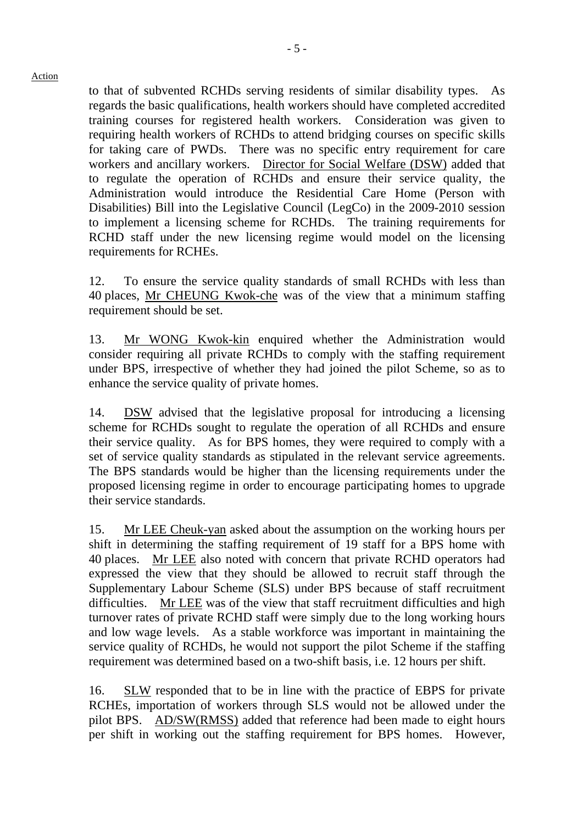to that of subvented RCHDs serving residents of similar disability types. As regards the basic qualifications, health workers should have completed accredited training courses for registered health workers. Consideration was given to requiring health workers of RCHDs to attend bridging courses on specific skills for taking care of PWDs. There was no specific entry requirement for care workers and ancillary workers. Director for Social Welfare (DSW) added that to regulate the operation of RCHDs and ensure their service quality, the Administration would introduce the Residential Care Home (Person with Disabilities) Bill into the Legislative Council (LegCo) in the 2009-2010 session to implement a licensing scheme for RCHDs. The training requirements for RCHD staff under the new licensing regime would model on the licensing requirements for RCHEs.

12. To ensure the service quality standards of small RCHDs with less than 40 places, Mr CHEUNG Kwok-che was of the view that a minimum staffing requirement should be set.

13. Mr WONG Kwok-kin enquired whether the Administration would consider requiring all private RCHDs to comply with the staffing requirement under BPS, irrespective of whether they had joined the pilot Scheme, so as to enhance the service quality of private homes.

14. DSW advised that the legislative proposal for introducing a licensing scheme for RCHDs sought to regulate the operation of all RCHDs and ensure their service quality. As for BPS homes, they were required to comply with a set of service quality standards as stipulated in the relevant service agreements. The BPS standards would be higher than the licensing requirements under the proposed licensing regime in order to encourage participating homes to upgrade their service standards.

15. Mr LEE Cheuk-yan asked about the assumption on the working hours per shift in determining the staffing requirement of 19 staff for a BPS home with 40 places. Mr LEE also noted with concern that private RCHD operators had expressed the view that they should be allowed to recruit staff through the Supplementary Labour Scheme (SLS) under BPS because of staff recruitment difficulties. Mr LEE was of the view that staff recruitment difficulties and high turnover rates of private RCHD staff were simply due to the long working hours and low wage levels. As a stable workforce was important in maintaining the service quality of RCHDs, he would not support the pilot Scheme if the staffing requirement was determined based on a two-shift basis, i.e. 12 hours per shift.

16. SLW responded that to be in line with the practice of EBPS for private RCHEs, importation of workers through SLS would not be allowed under the pilot BPS. AD/SW(RMSS) added that reference had been made to eight hours per shift in working out the staffing requirement for BPS homes. However,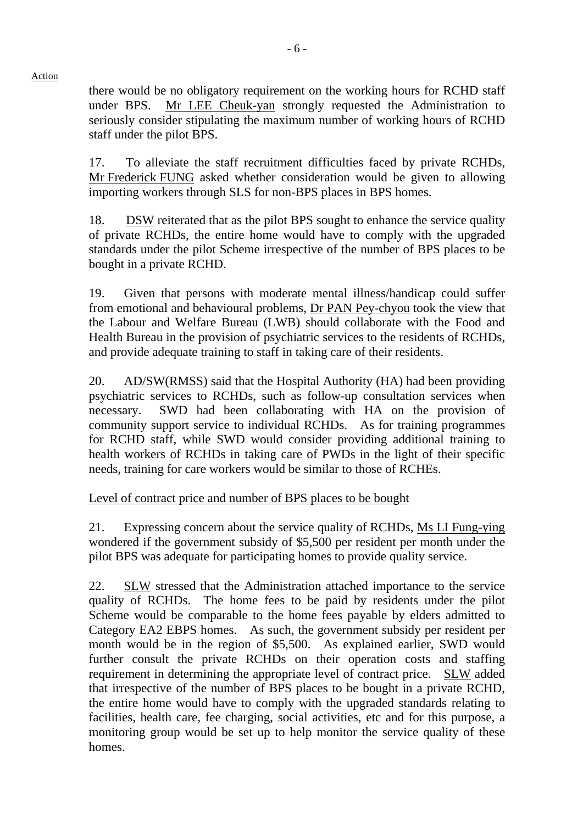there would be no obligatory requirement on the working hours for RCHD staff under BPS. Mr LEE Cheuk-yan strongly requested the Administration to seriously consider stipulating the maximum number of working hours of RCHD staff under the pilot BPS.

17. To alleviate the staff recruitment difficulties faced by private RCHDs, Mr Frederick FUNG asked whether consideration would be given to allowing importing workers through SLS for non-BPS places in BPS homes.

18. DSW reiterated that as the pilot BPS sought to enhance the service quality of private RCHDs, the entire home would have to comply with the upgraded standards under the pilot Scheme irrespective of the number of BPS places to be bought in a private RCHD.

19. Given that persons with moderate mental illness/handicap could suffer from emotional and behavioural problems, Dr PAN Pey-chyou took the view that the Labour and Welfare Bureau (LWB) should collaborate with the Food and Health Bureau in the provision of psychiatric services to the residents of RCHDs, and provide adequate training to staff in taking care of their residents.

20. AD/SW(RMSS) said that the Hospital Authority (HA) had been providing psychiatric services to RCHDs, such as follow-up consultation services when necessary. SWD had been collaborating with HA on the provision of community support service to individual RCHDs. As for training programmes for RCHD staff, while SWD would consider providing additional training to health workers of RCHDs in taking care of PWDs in the light of their specific needs, training for care workers would be similar to those of RCHEs.

## Level of contract price and number of BPS places to be bought

21. Expressing concern about the service quality of RCHDs, Ms LI Fung-ying wondered if the government subsidy of \$5,500 per resident per month under the pilot BPS was adequate for participating homes to provide quality service.

22. SLW stressed that the Administration attached importance to the service quality of RCHDs. The home fees to be paid by residents under the pilot Scheme would be comparable to the home fees payable by elders admitted to Category EA2 EBPS homes. As such, the government subsidy per resident per month would be in the region of \$5,500. As explained earlier, SWD would further consult the private RCHDs on their operation costs and staffing requirement in determining the appropriate level of contract price. SLW added that irrespective of the number of BPS places to be bought in a private RCHD, the entire home would have to comply with the upgraded standards relating to facilities, health care, fee charging, social activities, etc and for this purpose, a monitoring group would be set up to help monitor the service quality of these homes.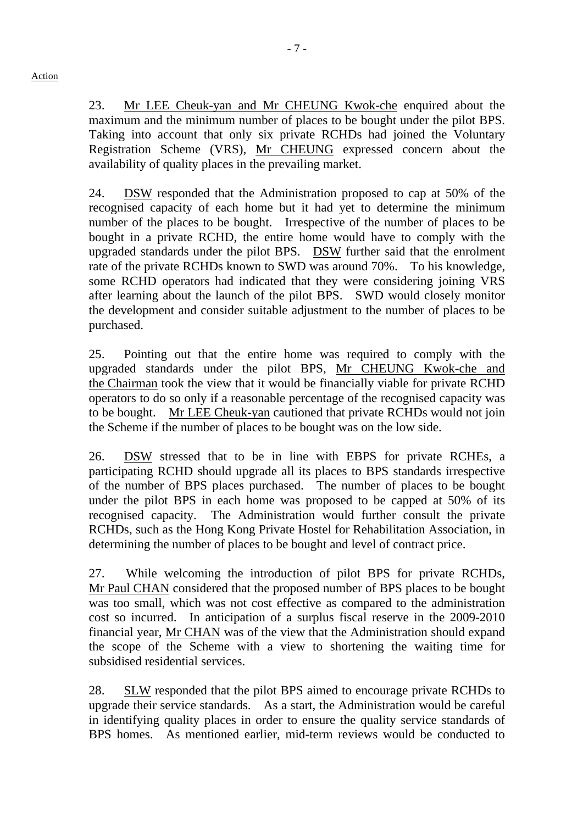23. Mr LEE Cheuk-yan and Mr CHEUNG Kwok-che enquired about the maximum and the minimum number of places to be bought under the pilot BPS. Taking into account that only six private RCHDs had joined the Voluntary Registration Scheme (VRS), Mr CHEUNG expressed concern about the availability of quality places in the prevailing market.

24. DSW responded that the Administration proposed to cap at 50% of the recognised capacity of each home but it had yet to determine the minimum number of the places to be bought. Irrespective of the number of places to be bought in a private RCHD, the entire home would have to comply with the upgraded standards under the pilot BPS. DSW further said that the enrolment rate of the private RCHDs known to SWD was around 70%. To his knowledge, some RCHD operators had indicated that they were considering joining VRS after learning about the launch of the pilot BPS. SWD would closely monitor the development and consider suitable adjustment to the number of places to be purchased.

25. Pointing out that the entire home was required to comply with the upgraded standards under the pilot BPS, Mr CHEUNG Kwok-che and the Chairman took the view that it would be financially viable for private RCHD operators to do so only if a reasonable percentage of the recognised capacity was to be bought. Mr LEE Cheuk-yan cautioned that private RCHDs would not join the Scheme if the number of places to be bought was on the low side.

26. DSW stressed that to be in line with EBPS for private RCHEs, a participating RCHD should upgrade all its places to BPS standards irrespective of the number of BPS places purchased. The number of places to be bought under the pilot BPS in each home was proposed to be capped at 50% of its recognised capacity. The Administration would further consult the private RCHDs, such as the Hong Kong Private Hostel for Rehabilitation Association, in determining the number of places to be bought and level of contract price.

27. While welcoming the introduction of pilot BPS for private RCHDs, Mr Paul CHAN considered that the proposed number of BPS places to be bought was too small, which was not cost effective as compared to the administration cost so incurred. In anticipation of a surplus fiscal reserve in the 2009-2010 financial year, Mr CHAN was of the view that the Administration should expand the scope of the Scheme with a view to shortening the waiting time for subsidised residential services.

28. SLW responded that the pilot BPS aimed to encourage private RCHDs to upgrade their service standards. As a start, the Administration would be careful in identifying quality places in order to ensure the quality service standards of BPS homes. As mentioned earlier, mid-term reviews would be conducted to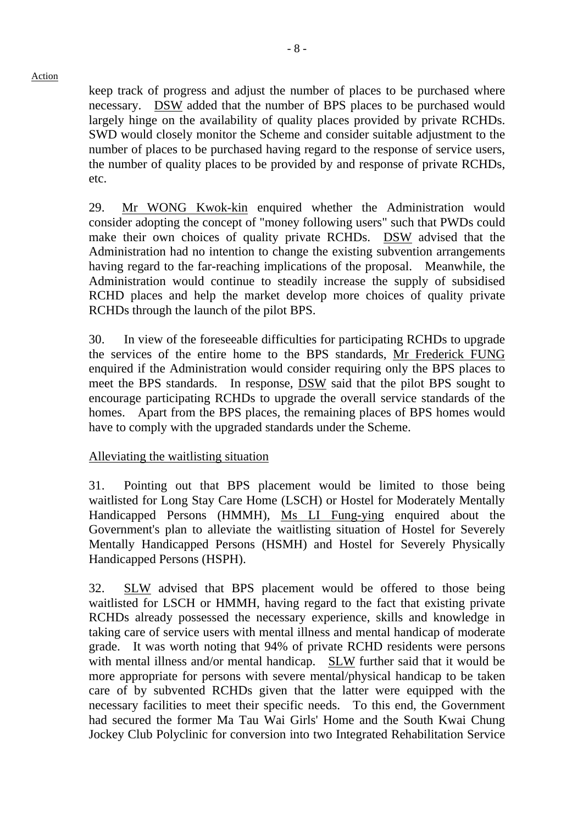keep track of progress and adjust the number of places to be purchased where necessary. DSW added that the number of BPS places to be purchased would largely hinge on the availability of quality places provided by private RCHDs. SWD would closely monitor the Scheme and consider suitable adjustment to the number of places to be purchased having regard to the response of service users, the number of quality places to be provided by and response of private RCHDs, etc.

29. Mr WONG Kwok-kin enquired whether the Administration would consider adopting the concept of "money following users" such that PWDs could make their own choices of quality private RCHDs. DSW advised that the Administration had no intention to change the existing subvention arrangements having regard to the far-reaching implications of the proposal. Meanwhile, the Administration would continue to steadily increase the supply of subsidised RCHD places and help the market develop more choices of quality private RCHDs through the launch of the pilot BPS.

30. In view of the foreseeable difficulties for participating RCHDs to upgrade the services of the entire home to the BPS standards, Mr Frederick FUNG enquired if the Administration would consider requiring only the BPS places to meet the BPS standards. In response, DSW said that the pilot BPS sought to encourage participating RCHDs to upgrade the overall service standards of the homes. Apart from the BPS places, the remaining places of BPS homes would have to comply with the upgraded standards under the Scheme.

#### Alleviating the waitlisting situation

31. Pointing out that BPS placement would be limited to those being waitlisted for Long Stay Care Home (LSCH) or Hostel for Moderately Mentally Handicapped Persons (HMMH), Ms LI Fung-ying enquired about the Government's plan to alleviate the waitlisting situation of Hostel for Severely Mentally Handicapped Persons (HSMH) and Hostel for Severely Physically Handicapped Persons (HSPH).

32. SLW advised that BPS placement would be offered to those being waitlisted for LSCH or HMMH, having regard to the fact that existing private RCHDs already possessed the necessary experience, skills and knowledge in taking care of service users with mental illness and mental handicap of moderate grade. It was worth noting that 94% of private RCHD residents were persons with mental illness and/or mental handicap. SLW further said that it would be more appropriate for persons with severe mental/physical handicap to be taken care of by subvented RCHDs given that the latter were equipped with the necessary facilities to meet their specific needs. To this end, the Government had secured the former Ma Tau Wai Girls' Home and the South Kwai Chung Jockey Club Polyclinic for conversion into two Integrated Rehabilitation Service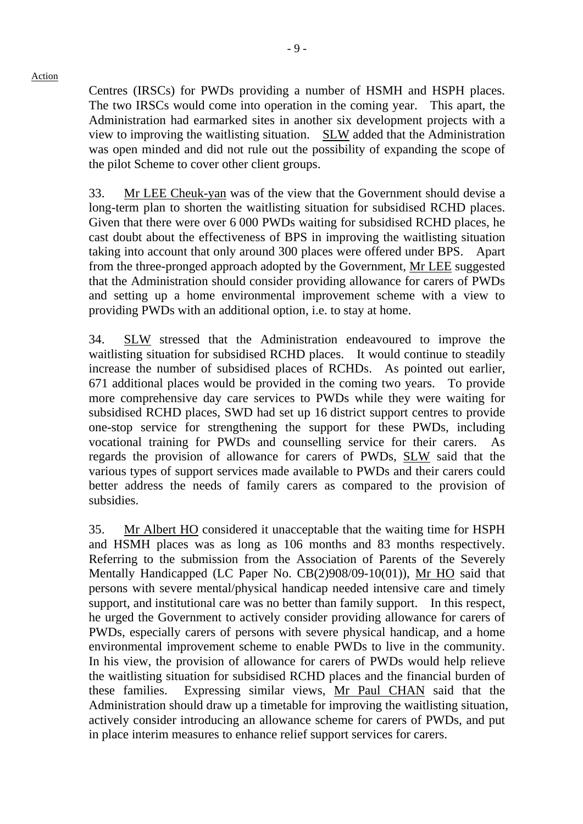Centres (IRSCs) for PWDs providing a number of HSMH and HSPH places. The two IRSCs would come into operation in the coming year. This apart, the Administration had earmarked sites in another six development projects with a view to improving the waitlisting situation. SLW added that the Administration was open minded and did not rule out the possibility of expanding the scope of the pilot Scheme to cover other client groups.

33. Mr LEE Cheuk-yan was of the view that the Government should devise a long-term plan to shorten the waitlisting situation for subsidised RCHD places. Given that there were over 6,000 PWDs waiting for subsidised RCHD places, he cast doubt about the effectiveness of BPS in improving the waitlisting situation taking into account that only around 300 places were offered under BPS. Apart from the three-pronged approach adopted by the Government, Mr LEE suggested that the Administration should consider providing allowance for carers of PWDs and setting up a home environmental improvement scheme with a view to providing PWDs with an additional option, i.e. to stay at home.

34. SLW stressed that the Administration endeavoured to improve the waitlisting situation for subsidised RCHD places. It would continue to steadily increase the number of subsidised places of RCHDs. As pointed out earlier, 671 additional places would be provided in the coming two years. To provide more comprehensive day care services to PWDs while they were waiting for subsidised RCHD places, SWD had set up 16 district support centres to provide one-stop service for strengthening the support for these PWDs, including vocational training for PWDs and counselling service for their carers. regards the provision of allowance for carers of PWDs, SLW said that the various types of support services made available to PWDs and their carers could better address the needs of family carers as compared to the provision of subsidies.

35. Mr Albert HO considered it unacceptable that the waiting time for HSPH and HSMH places was as long as 106 months and 83 months respectively. Referring to the submission from the Association of Parents of the Severely Mentally Handicapped (LC Paper No. CB(2)908/09-10(01)), Mr HO said that persons with severe mental/physical handicap needed intensive care and timely support, and institutional care was no better than family support. In this respect, he urged the Government to actively consider providing allowance for carers of PWDs, especially carers of persons with severe physical handicap, and a home environmental improvement scheme to enable PWDs to live in the community. In his view, the provision of allowance for carers of PWDs would help relieve the waitlisting situation for subsidised RCHD places and the financial burden of these families. Expressing similar views, Mr Paul CHAN said that the Administration should draw up a timetable for improving the waitlisting situation, actively consider introducing an allowance scheme for carers of PWDs, and put in place interim measures to enhance relief support services for carers.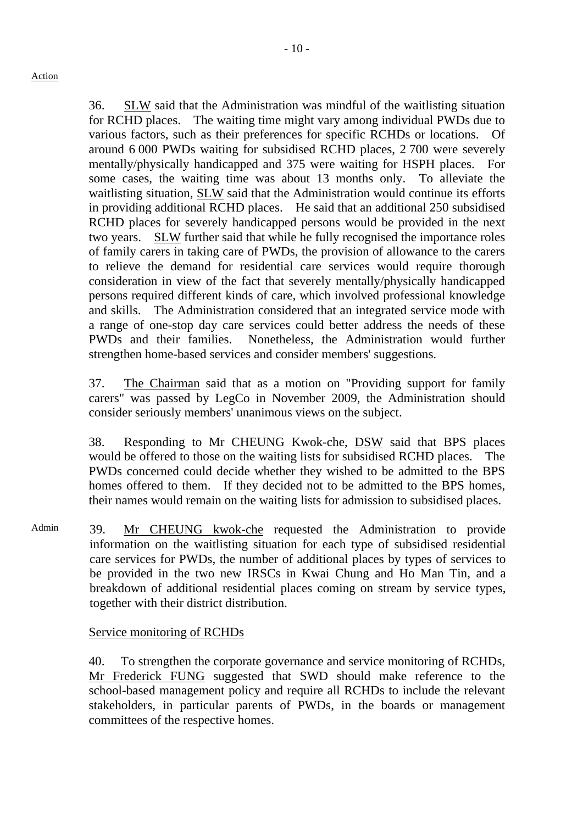36. SLW said that the Administration was mindful of the waitlisting situation for RCHD places. The waiting time might vary among individual PWDs due to various factors, such as their preferences for specific RCHDs or locations. Of around 6,000 PWDs waiting for subsidised RCHD places, 2,700 were severely mentally/physically handicapped and 375 were waiting for HSPH places. For some cases, the waiting time was about 13 months only. To alleviate the waitlisting situation, SLW said that the Administration would continue its efforts in providing additional RCHD places. He said that an additional 250 subsidised RCHD places for severely handicapped persons would be provided in the next two years. SLW further said that while he fully recognised the importance roles of family carers in taking care of PWDs, the provision of allowance to the carers to relieve the demand for residential care services would require thorough consideration in view of the fact that severely mentally/physically handicapped persons required different kinds of care, which involved professional knowledge and skills. The Administration considered that an integrated service mode with a range of one-stop day care services could better address the needs of these PWDs and their families. Nonetheless, the Administration would further strengthen home-based services and consider members' suggestions.

37. The Chairman said that as a motion on "Providing support for family carers" was passed by LegCo in November 2009, the Administration should consider seriously members' unanimous views on the subject.

38. Responding to Mr CHEUNG Kwok-che, DSW said that BPS places would be offered to those on the waiting lists for subsidised RCHD places. The PWDs concerned could decide whether they wished to be admitted to the BPS homes offered to them. If they decided not to be admitted to the BPS homes, their names would remain on the waiting lists for admission to subsidised places.

Admin 39. Mr CHEUNG kwok-che requested the Administration to provide information on the waitlisting situation for each type of subsidised residential care services for PWDs, the number of additional places by types of services to be provided in the two new IRSCs in Kwai Chung and Ho Man Tin, and a breakdown of additional residential places coming on stream by service types, together with their district distribution.

Service monitoring of RCHDs

40. To strengthen the corporate governance and service monitoring of RCHDs, Mr Frederick FUNG suggested that SWD should make reference to the school-based management policy and require all RCHDs to include the relevant stakeholders, in particular parents of PWDs, in the boards or management committees of the respective homes.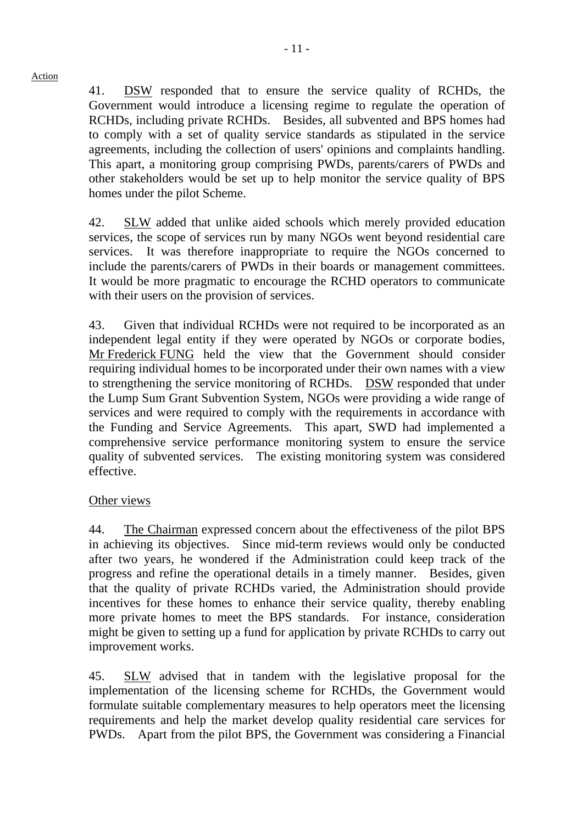41. DSW responded that to ensure the service quality of RCHDs, the Government would introduce a licensing regime to regulate the operation of RCHDs, including private RCHDs. Besides, all subvented and BPS homes had to comply with a set of quality service standards as stipulated in the service agreements, including the collection of users' opinions and complaints handling. This apart, a monitoring group comprising PWDs, parents/carers of PWDs and other stakeholders would be set up to help monitor the service quality of BPS homes under the pilot Scheme.

42. SLW added that unlike aided schools which merely provided education services, the scope of services run by many NGOs went beyond residential care services. It was therefore inappropriate to require the NGOs concerned to include the parents/carers of PWDs in their boards or management committees. It would be more pragmatic to encourage the RCHD operators to communicate with their users on the provision of services.

43. Given that individual RCHDs were not required to be incorporated as an independent legal entity if they were operated by NGOs or corporate bodies, Mr Frederick FUNG held the view that the Government should consider requiring individual homes to be incorporated under their own names with a view to strengthening the service monitoring of RCHDs. DSW responded that under the Lump Sum Grant Subvention System, NGOs were providing a wide range of services and were required to comply with the requirements in accordance with the Funding and Service Agreements. This apart, SWD had implemented a comprehensive service performance monitoring system to ensure the service quality of subvented services. The existing monitoring system was considered effective.

## Other views

44. The Chairman expressed concern about the effectiveness of the pilot BPS in achieving its objectives. Since mid-term reviews would only be conducted after two years, he wondered if the Administration could keep track of the progress and refine the operational details in a timely manner. Besides, given that the quality of private RCHDs varied, the Administration should provide incentives for these homes to enhance their service quality, thereby enabling more private homes to meet the BPS standards. For instance, consideration might be given to setting up a fund for application by private RCHDs to carry out improvement works.

45. SLW advised that in tandem with the legislative proposal for the implementation of the licensing scheme for RCHDs, the Government would formulate suitable complementary measures to help operators meet the licensing requirements and help the market develop quality residential care services for PWDs. Apart from the pilot BPS, the Government was considering a Financial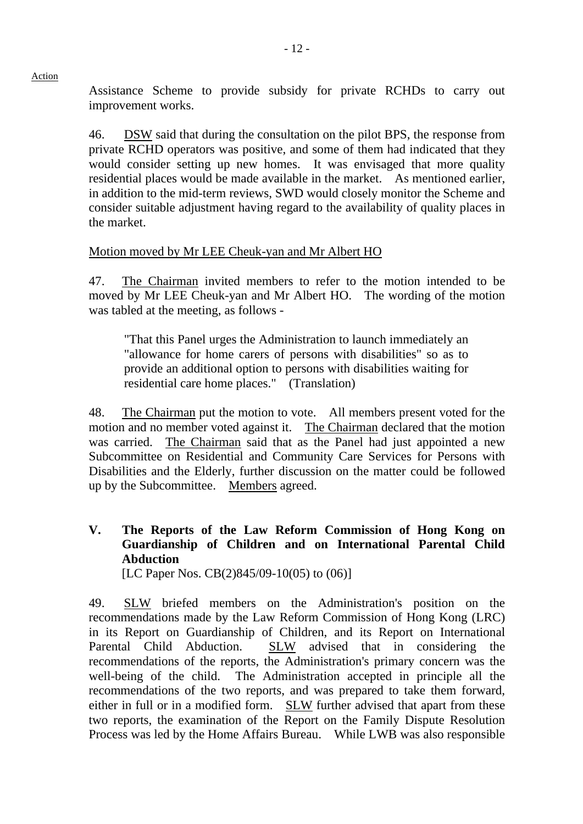Assistance Scheme to provide subsidy for private RCHDs to carry out improvement works.

46. DSW said that during the consultation on the pilot BPS, the response from private RCHD operators was positive, and some of them had indicated that they would consider setting up new homes. It was envisaged that more quality residential places would be made available in the market. As mentioned earlier, in addition to the mid-term reviews, SWD would closely monitor the Scheme and consider suitable adjustment having regard to the availability of quality places in the market.

## Motion moved by Mr LEE Cheuk-yan and Mr Albert HO

47. The Chairman invited members to refer to the motion intended to be moved by Mr LEE Cheuk-yan and Mr Albert HO. The wording of the motion was tabled at the meeting, as follows -

"That this Panel urges the Administration to launch immediately an "allowance for home carers of persons with disabilities" so as to provide an additional option to persons with disabilities waiting for residential care home places." (Translation)

48. The Chairman put the motion to vote. All members present voted for the motion and no member voted against it. The Chairman declared that the motion was carried. The Chairman said that as the Panel had just appointed a new Subcommittee on Residential and Community Care Services for Persons with Disabilities and the Elderly, further discussion on the matter could be followed up by the Subcommittee. Members agreed.

## **V. The Reports of the Law Reform Commission of Hong Kong on Guardianship of Children and on International Parental Child Abduction**

[LC Paper Nos. CB(2)845/09-10(05) to (06)]

49. SLW briefed members on the Administration's position on the recommendations made by the Law Reform Commission of Hong Kong (LRC) in its Report on Guardianship of Children, and its Report on International Parental Child Abduction. SLW advised that in considering the recommendations of the reports, the Administration's primary concern was the well-being of the child. The Administration accepted in principle all the recommendations of the two reports, and was prepared to take them forward, either in full or in a modified form. SLW further advised that apart from these two reports, the examination of the Report on the Family Dispute Resolution Process was led by the Home Affairs Bureau. While LWB was also responsible

Action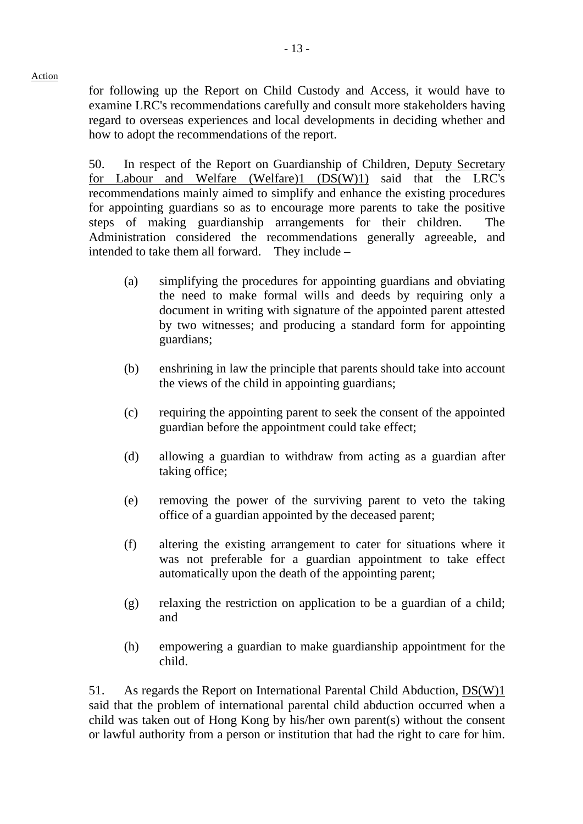for following up the Report on Child Custody and Access, it would have to examine LRC's recommendations carefully and consult more stakeholders having regard to overseas experiences and local developments in deciding whether and how to adopt the recommendations of the report.

50. In respect of the Report on Guardianship of Children, Deputy Secretary for Labour and Welfare (Welfare)1 (DS(W)1) said that the LRC's recommendations mainly aimed to simplify and enhance the existing procedures for appointing guardians so as to encourage more parents to take the positive steps of making guardianship arrangements for their children. The Administration considered the recommendations generally agreeable, and intended to take them all forward. They include –

- (a) simplifying the procedures for appointing guardians and obviating the need to make formal wills and deeds by requiring only a document in writing with signature of the appointed parent attested by two witnesses; and producing a standard form for appointing guardians;
- (b) enshrining in law the principle that parents should take into account the views of the child in appointing guardians;
- (c) requiring the appointing parent to seek the consent of the appointed guardian before the appointment could take effect;
- (d) allowing a guardian to withdraw from acting as a guardian after taking office;
- (e) removing the power of the surviving parent to veto the taking office of a guardian appointed by the deceased parent;
- (f) altering the existing arrangement to cater for situations where it was not preferable for a guardian appointment to take effect automatically upon the death of the appointing parent;
- (g) relaxing the restriction on application to be a guardian of a child; and
- (h) empowering a guardian to make guardianship appointment for the child.

51. As regards the Report on International Parental Child Abduction, DS(W)1 said that the problem of international parental child abduction occurred when a child was taken out of Hong Kong by his/her own parent(s) without the consent or lawful authority from a person or institution that had the right to care for him.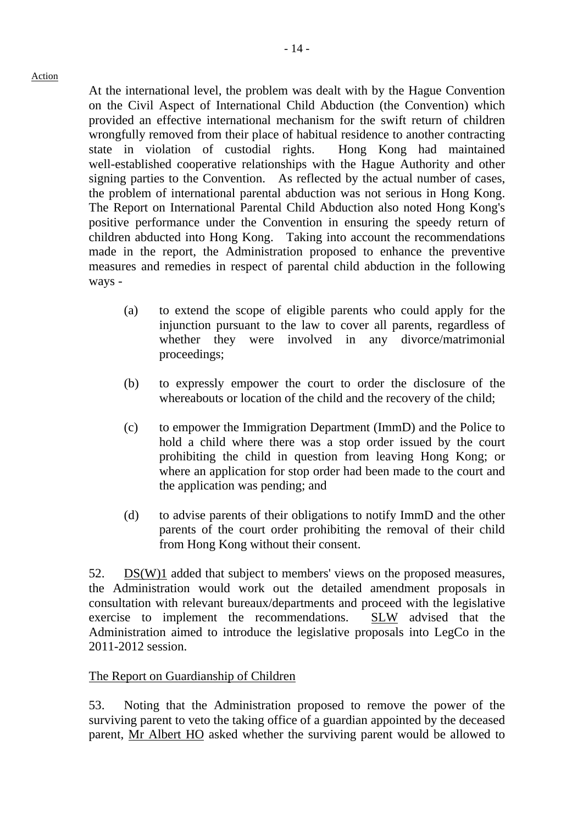At the international level, the problem was dealt with by the Hague Convention on the Civil Aspect of International Child Abduction (the Convention) which provided an effective international mechanism for the swift return of children wrongfully removed from their place of habitual residence to another contracting state in violation of custodial rights. Hong Kong had maintained well-established cooperative relationships with the Hague Authority and other signing parties to the Convention. As reflected by the actual number of cases, the problem of international parental abduction was not serious in Hong Kong. The Report on International Parental Child Abduction also noted Hong Kong's positive performance under the Convention in ensuring the speedy return of children abducted into Hong Kong. Taking into account the recommendations made in the report, the Administration proposed to enhance the preventive measures and remedies in respect of parental child abduction in the following ways -

- (a) to extend the scope of eligible parents who could apply for the injunction pursuant to the law to cover all parents, regardless of whether they were involved in any divorce/matrimonial proceedings;
- (b) to expressly empower the court to order the disclosure of the whereabouts or location of the child and the recovery of the child;
- (c) to empower the Immigration Department (ImmD) and the Police to hold a child where there was a stop order issued by the court prohibiting the child in question from leaving Hong Kong; or where an application for stop order had been made to the court and the application was pending; and
- (d) to advise parents of their obligations to notify ImmD and the other parents of the court order prohibiting the removal of their child from Hong Kong without their consent.

52. DS(W)1 added that subject to members' views on the proposed measures, the Administration would work out the detailed amendment proposals in consultation with relevant bureaux/departments and proceed with the legislative exercise to implement the recommendations. SLW advised that the Administration aimed to introduce the legislative proposals into LegCo in the 2011-2012 session.

#### The Report on Guardianship of Children

53. Noting that the Administration proposed to remove the power of the surviving parent to veto the taking office of a guardian appointed by the deceased parent, Mr Albert HO asked whether the surviving parent would be allowed to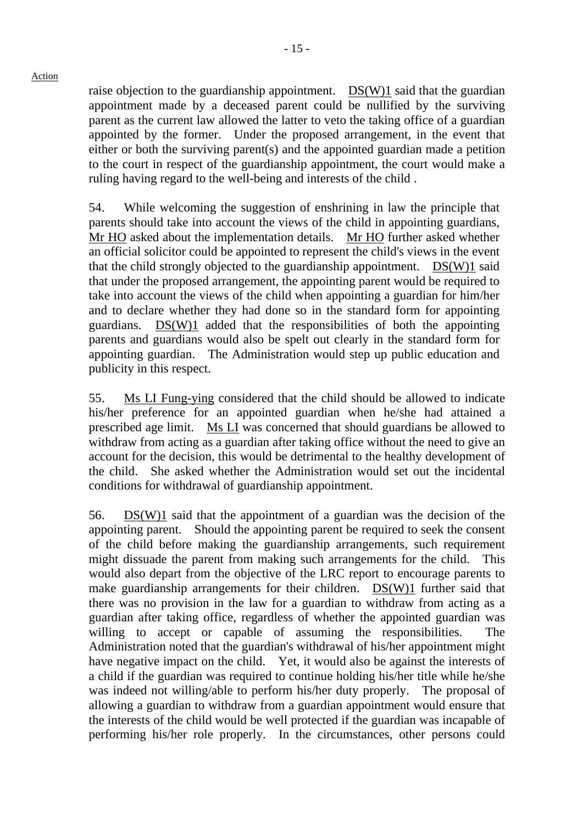raise objection to the guardianship appointment. DS(W)1 said that the guardian appointment made by a deceased parent could be nullified by the surviving parent as the current law allowed the latter to veto the taking office of a guardian appointed by the former. Under the proposed arrangement, in the event that either or both the surviving parent(s) and the appointed guardian made a petition to the court in respect of the guardianship appointment, the court would make a ruling having regard to the well-being and interests of the child .

54. While welcoming the suggestion of enshrining in law the principle that parents should take into account the views of the child in appointing guardians, Mr HO asked about the implementation details. Mr HO further asked whether an official solicitor could be appointed to represent the child's views in the event that the child strongly objected to the guardianship appointment.  $DS(W)1$  said that under the proposed arrangement, the appointing parent would be required to take into account the views of the child when appointing a guardian for him/her and to declare whether they had done so in the standard form for appointing guardians. DS(W)1 added that the responsibilities of both the appointing parents and guardians would also be spelt out clearly in the standard form for appointing guardian. The Administration would step up public education and publicity in this respect.

55. Ms LI Fung-ying considered that the child should be allowed to indicate his/her preference for an appointed guardian when he/she had attained a prescribed age limit. Ms LI was concerned that should guardians be allowed to withdraw from acting as a guardian after taking office without the need to give an account for the decision, this would be detrimental to the healthy development of the child. She asked whether the Administration would set out the incidental conditions for withdrawal of guardianship appointment.

56. DS(W)1 said that the appointment of a guardian was the decision of the appointing parent. Should the appointing parent be required to seek the consent of the child before making the guardianship arrangements, such requirement might dissuade the parent from making such arrangements for the child. This would also depart from the objective of the LRC report to encourage parents to make guardianship arrangements for their children. DS(W)1 further said that there was no provision in the law for a guardian to withdraw from acting as a guardian after taking office, regardless of whether the appointed guardian was willing to accept or capable of assuming the responsibilities. The Administration noted that the guardian's withdrawal of his/her appointment might have negative impact on the child. Yet, it would also be against the interests of a child if the guardian was required to continue holding his/her title while he/she was indeed not willing/able to perform his/her duty properly. The proposal of allowing a guardian to withdraw from a guardian appointment would ensure that the interests of the child would be well protected if the guardian was incapable of performing his/her role properly. In the circumstances, other persons could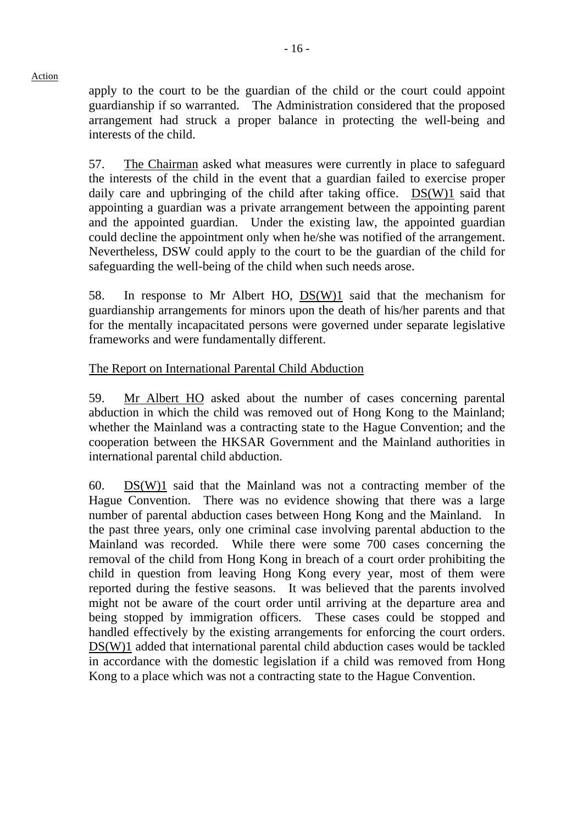apply to the court to be the guardian of the child or the court could appoint guardianship if so warranted. The Administration considered that the proposed arrangement had struck a proper balance in protecting the well-being and interests of the child.

57. The Chairman asked what measures were currently in place to safeguard the interests of the child in the event that a guardian failed to exercise proper daily care and upbringing of the child after taking office. DS(W)1 said that appointing a guardian was a private arrangement between the appointing parent and the appointed guardian. Under the existing law, the appointed guardian could decline the appointment only when he/she was notified of the arrangement. Nevertheless, DSW could apply to the court to be the guardian of the child for safeguarding the well-being of the child when such needs arose.

58. In response to Mr Albert HO,  $DS(W)1$  said that the mechanism for guardianship arrangements for minors upon the death of his/her parents and that for the mentally incapacitated persons were governed under separate legislative frameworks and were fundamentally different.

## The Report on International Parental Child Abduction

59. Mr Albert HO asked about the number of cases concerning parental abduction in which the child was removed out of Hong Kong to the Mainland; whether the Mainland was a contracting state to the Hague Convention; and the cooperation between the HKSAR Government and the Mainland authorities in international parental child abduction.

60.  $DS(W)1$  said that the Mainland was not a contracting member of the Hague Convention. There was no evidence showing that there was a large number of parental abduction cases between Hong Kong and the Mainland. In the past three years, only one criminal case involving parental abduction to the Mainland was recorded. While there were some 700 cases concerning the removal of the child from Hong Kong in breach of a court order prohibiting the child in question from leaving Hong Kong every year, most of them were reported during the festive seasons. It was believed that the parents involved might not be aware of the court order until arriving at the departure area and being stopped by immigration officers. These cases could be stopped and handled effectively by the existing arrangements for enforcing the court orders. DS(W)1 added that international parental child abduction cases would be tackled in accordance with the domestic legislation if a child was removed from Hong Kong to a place which was not a contracting state to the Hague Convention.